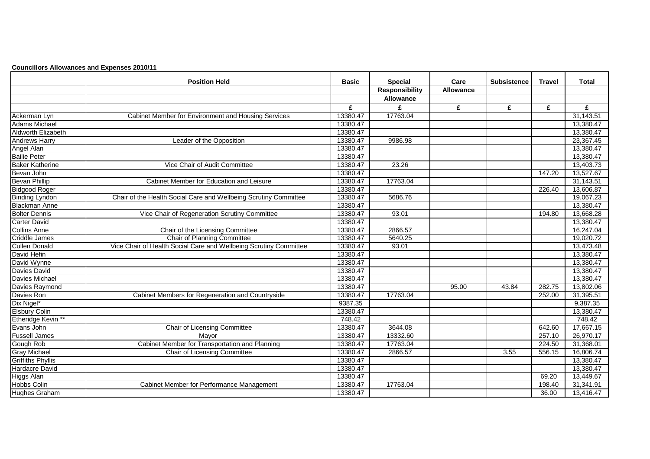|  |  | <b>Councillors Allowances and Expenses 2010/11</b> |  |
|--|--|----------------------------------------------------|--|
|--|--|----------------------------------------------------|--|

|                          | <b>Position Held</b>                                              | <b>Basic</b> | <b>Special</b>        | Care             | <b>Subsistence</b> | Travel | Total     |
|--------------------------|-------------------------------------------------------------------|--------------|-----------------------|------------------|--------------------|--------|-----------|
|                          |                                                                   |              | <b>Responsibility</b> | <b>Allowance</b> |                    |        |           |
|                          |                                                                   |              | Allowance             |                  |                    |        |           |
|                          |                                                                   | £            | £                     | £                | £                  | £      | £         |
| Ackerman Lyn             | Cabinet Member for Environment and Housing Services               | 13380.47     | 17763.04              |                  |                    |        | 31,143.51 |
| <b>Adams Michael</b>     |                                                                   | 13380.47     |                       |                  |                    |        | 13,380.47 |
| Aldworth Elizabeth       |                                                                   | 13380.47     |                       |                  |                    |        | 13,380.47 |
| <b>Andrews Harry</b>     | Leader of the Opposition                                          | 13380.47     | 9986.98               |                  |                    |        | 23,367.45 |
| Angel Alan               |                                                                   | 13380.47     |                       |                  |                    |        | 13,380.47 |
| <b>Bailie Peter</b>      |                                                                   | 13380.47     |                       |                  |                    |        | 13,380.47 |
| <b>Baker Katherine</b>   | Vice Chair of Audit Committee                                     | 13380.47     | 23.26                 |                  |                    |        | 13,403.73 |
| Bevan John               |                                                                   | 13380.47     |                       |                  |                    | 147.20 | 13,527.67 |
| <b>Bevan Phillip</b>     | Cabinet Member for Education and Leisure                          | 13380.47     | 17763.04              |                  |                    |        | 31,143.51 |
| <b>Bidgood Roger</b>     |                                                                   | 13380.47     |                       |                  |                    | 226.40 | 13,606.87 |
| <b>Binding Lyndon</b>    | Chair of the Health Social Care and Wellbeing Scrutiny Committee  | 13380.47     | 5686.76               |                  |                    |        | 19,067.23 |
| <b>Blackman Anne</b>     |                                                                   | 13380.47     |                       |                  |                    |        | 13,380.47 |
| <b>Bolter Dennis</b>     | Vice Chair of Regeneration Scrutiny Committee                     | 13380.47     | 93.01                 |                  |                    | 194.80 | 13,668.28 |
| <b>Carter David</b>      |                                                                   | 13380.47     |                       |                  |                    |        | 13,380.47 |
| Collins Anne             | Chair of the Licensing Committee                                  | 13380.47     | 2866.57               |                  |                    |        | 16,247.04 |
| <b>Criddle James</b>     | Chair of Planning Committee                                       | 13380.47     | 5640.25               |                  |                    |        | 19,020.72 |
| <b>Cullen Donald</b>     | Vice Chair of Health Social Care and Wellbeing Scrutiny Committee | 13380.47     | 93.01                 |                  |                    |        | 13,473.48 |
| David Hefin              |                                                                   | 13380.47     |                       |                  |                    |        | 13,380.47 |
| David Wynne              |                                                                   | 13380.47     |                       |                  |                    |        | 13,380.47 |
| <b>Davies David</b>      |                                                                   | 13380.47     |                       |                  |                    |        | 13,380.47 |
| Davies Michael           |                                                                   | 13380.47     |                       |                  |                    |        | 13,380.47 |
| Davies Raymond           |                                                                   | 13380.47     |                       | 95.00            | 43.84              | 282.75 | 13,802.06 |
| Davies Ron               | Cabinet Members for Regeneration and Countryside                  | 13380.47     | 17763.04              |                  |                    | 252.00 | 31,395.51 |
| Dix Nigel*               |                                                                   | 9387.35      |                       |                  |                    |        | 9,387.35  |
| <b>Elsbury Colin</b>     |                                                                   | 13380.47     |                       |                  |                    |        | 13,380.47 |
| Etheridge Kevin **       |                                                                   | 748.42       |                       |                  |                    |        | 748.42    |
| Evans John               | <b>Chair of Licensing Committee</b>                               | 13380.47     | 3644.08               |                  |                    | 642.60 | 17,667.15 |
| <b>Fussell James</b>     | Mayor                                                             | 13380.47     | 13332.60              |                  |                    | 257.10 | 26,970.17 |
| Gough Rob                | Cabinet Member for Transportation and Planning                    | 13380.47     | 17763.04              |                  |                    | 224.50 | 31,368.01 |
| <b>Gray Michael</b>      | Chair of Licensing Committee                                      | 13380.47     | 2866.57               |                  | 3.55               | 556.15 | 16,806.74 |
| <b>Griffiths Phyllis</b> |                                                                   | 13380.47     |                       |                  |                    |        | 13,380.47 |
| <b>Hardacre David</b>    |                                                                   | 13380.47     |                       |                  |                    |        | 13,380.47 |
| Higgs Alan               |                                                                   | 13380.47     |                       |                  |                    | 69.20  | 13,449.67 |
| <b>Hobbs Colin</b>       | Cabinet Member for Performance Management                         | 13380.47     | 17763.04              |                  |                    | 198.40 | 31,341.91 |
| <b>Hughes Graham</b>     |                                                                   | 13380.47     |                       |                  |                    | 36.00  | 13,416.47 |